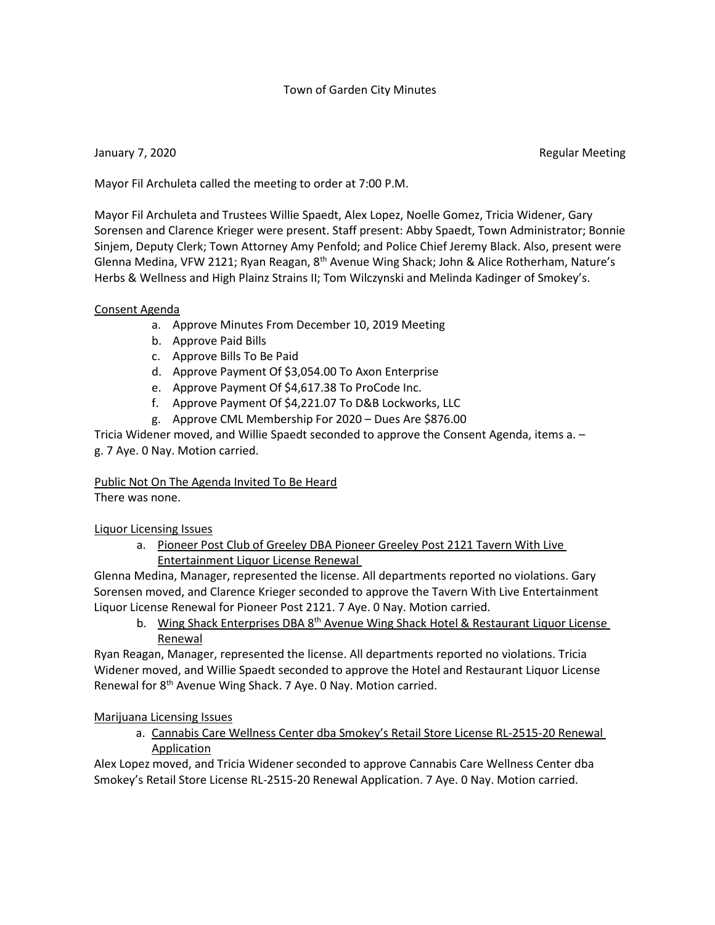## Town of Garden City Minutes

January 7, 2020 **Regular Meeting** 

Mayor Fil Archuleta called the meeting to order at 7:00 P.M.

Mayor Fil Archuleta and Trustees Willie Spaedt, Alex Lopez, Noelle Gomez, Tricia Widener, Gary Sorensen and Clarence Krieger were present. Staff present: Abby Spaedt, Town Administrator; Bonnie Sinjem, Deputy Clerk; Town Attorney Amy Penfold; and Police Chief Jeremy Black. Also, present were Glenna Medina, VFW 2121; Ryan Reagan,  $8<sup>th</sup>$  Avenue Wing Shack; John & Alice Rotherham, Nature's Herbs & Wellness and High Plainz Strains II; Tom Wilczynski and Melinda Kadinger of Smokey's.

## Consent Agenda

- a. Approve Minutes From December 10, 2019 Meeting
- b. Approve Paid Bills
- c. Approve Bills To Be Paid
- d. Approve Payment Of \$3,054.00 To Axon Enterprise
- e. Approve Payment Of \$4,617.38 To ProCode Inc.
- f. Approve Payment Of \$4,221.07 To D&B Lockworks, LLC
- g. Approve CML Membership For 2020 Dues Are \$876.00

Tricia Widener moved, and Willie Spaedt seconded to approve the Consent Agenda, items a. – g. 7 Aye. 0 Nay. Motion carried.

Public Not On The Agenda Invited To Be Heard

There was none.

Liquor Licensing Issues

a. Pioneer Post Club of Greeley DBA Pioneer Greeley Post 2121 Tavern With Live Entertainment Liquor License Renewal

Glenna Medina, Manager, represented the license. All departments reported no violations. Gary Sorensen moved, and Clarence Krieger seconded to approve the Tavern With Live Entertainment Liquor License Renewal for Pioneer Post 2121. 7 Aye. 0 Nay. Motion carried.

b. Wing Shack Enterprises DBA 8<sup>th</sup> Avenue Wing Shack Hotel & Restaurant Liquor License Renewal

Ryan Reagan, Manager, represented the license. All departments reported no violations. Tricia Widener moved, and Willie Spaedt seconded to approve the Hotel and Restaurant Liquor License Renewal for 8<sup>th</sup> Avenue Wing Shack. 7 Aye. 0 Nay. Motion carried.

## Marijuana Licensing Issues

a. Cannabis Care Wellness Center dba Smokey's Retail Store License RL-2515-20 Renewal Application

Alex Lopez moved, and Tricia Widener seconded to approve Cannabis Care Wellness Center dba Smokey's Retail Store License RL-2515-20 Renewal Application. 7 Aye. 0 Nay. Motion carried.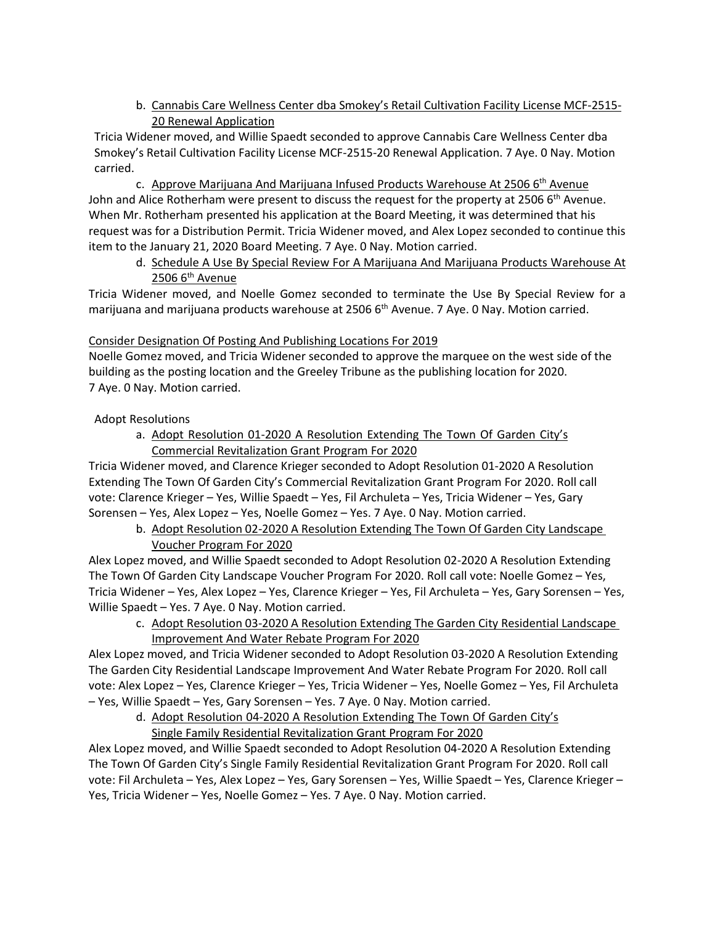b. Cannabis Care Wellness Center dba Smokey's Retail Cultivation Facility License MCF-2515- 20 Renewal Application

Tricia Widener moved, and Willie Spaedt seconded to approve Cannabis Care Wellness Center dba Smokey's Retail Cultivation Facility License MCF-2515-20 Renewal Application. 7 Aye. 0 Nay. Motion carried.

c. Approve Marijuana And Marijuana Infused Products Warehouse At 2506  $6<sup>th</sup>$  Avenue John and Alice Rotherham were present to discuss the request for the property at 2506  $6<sup>th</sup>$  Avenue. When Mr. Rotherham presented his application at the Board Meeting, it was determined that his request was for a Distribution Permit. Tricia Widener moved, and Alex Lopez seconded to continue this item to the January 21, 2020 Board Meeting. 7 Aye. 0 Nay. Motion carried.

d. Schedule A Use By Special Review For A Marijuana And Marijuana Products Warehouse At  $2506$  6<sup>th</sup> Avenue

Tricia Widener moved, and Noelle Gomez seconded to terminate the Use By Special Review for a marijuana and marijuana products warehouse at 2506 6<sup>th</sup> Avenue. 7 Aye. 0 Nay. Motion carried.

# Consider Designation Of Posting And Publishing Locations For 2019

Noelle Gomez moved, and Tricia Widener seconded to approve the marquee on the west side of the building as the posting location and the Greeley Tribune as the publishing location for 2020. 7 Aye. 0 Nay. Motion carried.

## Adopt Resolutions

a. Adopt Resolution 01-2020 A Resolution Extending The Town Of Garden City's Commercial Revitalization Grant Program For 2020

Tricia Widener moved, and Clarence Krieger seconded to Adopt Resolution 01-2020 A Resolution Extending The Town Of Garden City's Commercial Revitalization Grant Program For 2020. Roll call vote: Clarence Krieger – Yes, Willie Spaedt – Yes, Fil Archuleta – Yes, Tricia Widener – Yes, Gary Sorensen – Yes, Alex Lopez – Yes, Noelle Gomez – Yes. 7 Aye. 0 Nay. Motion carried.

b. Adopt Resolution 02-2020 A Resolution Extending The Town Of Garden City Landscape Voucher Program For 2020

Alex Lopez moved, and Willie Spaedt seconded to Adopt Resolution 02-2020 A Resolution Extending The Town Of Garden City Landscape Voucher Program For 2020. Roll call vote: Noelle Gomez – Yes, Tricia Widener – Yes, Alex Lopez – Yes, Clarence Krieger – Yes, Fil Archuleta – Yes, Gary Sorensen – Yes, Willie Spaedt – Yes. 7 Aye. 0 Nay. Motion carried.

c. Adopt Resolution 03-2020 A Resolution Extending The Garden City Residential Landscape Improvement And Water Rebate Program For 2020

Alex Lopez moved, and Tricia Widener seconded to Adopt Resolution 03-2020 A Resolution Extending The Garden City Residential Landscape Improvement And Water Rebate Program For 2020. Roll call vote: Alex Lopez – Yes, Clarence Krieger – Yes, Tricia Widener – Yes, Noelle Gomez – Yes, Fil Archuleta – Yes, Willie Spaedt – Yes, Gary Sorensen – Yes. 7 Aye. 0 Nay. Motion carried.

## d. Adopt Resolution 04-2020 A Resolution Extending The Town Of Garden City's Single Family Residential Revitalization Grant Program For 2020

Alex Lopez moved, and Willie Spaedt seconded to Adopt Resolution 04-2020 A Resolution Extending The Town Of Garden City's Single Family Residential Revitalization Grant Program For 2020. Roll call vote: Fil Archuleta – Yes, Alex Lopez – Yes, Gary Sorensen – Yes, Willie Spaedt – Yes, Clarence Krieger – Yes, Tricia Widener – Yes, Noelle Gomez – Yes. 7 Aye. 0 Nay. Motion carried.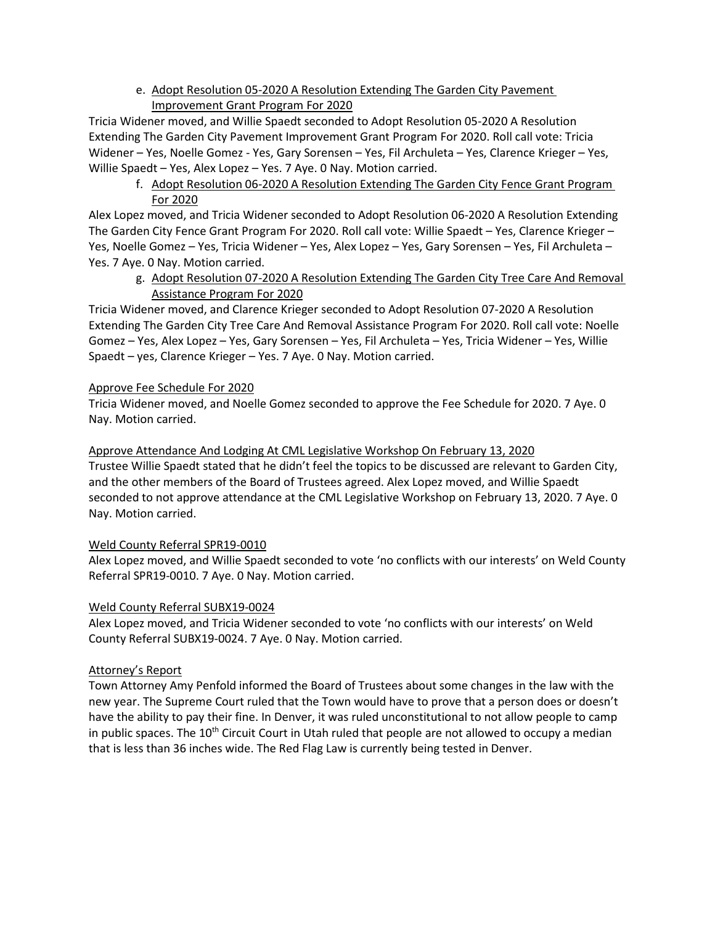e. Adopt Resolution 05-2020 A Resolution Extending The Garden City Pavement Improvement Grant Program For 2020

Tricia Widener moved, and Willie Spaedt seconded to Adopt Resolution 05-2020 A Resolution Extending The Garden City Pavement Improvement Grant Program For 2020. Roll call vote: Tricia Widener – Yes, Noelle Gomez - Yes, Gary Sorensen – Yes, Fil Archuleta – Yes, Clarence Krieger – Yes, Willie Spaedt – Yes, Alex Lopez – Yes. 7 Aye. 0 Nay. Motion carried.

f. Adopt Resolution 06-2020 A Resolution Extending The Garden City Fence Grant Program For 2020

Alex Lopez moved, and Tricia Widener seconded to Adopt Resolution 06-2020 A Resolution Extending The Garden City Fence Grant Program For 2020. Roll call vote: Willie Spaedt – Yes, Clarence Krieger – Yes, Noelle Gomez – Yes, Tricia Widener – Yes, Alex Lopez – Yes, Gary Sorensen – Yes, Fil Archuleta – Yes. 7 Aye. 0 Nay. Motion carried.

g. Adopt Resolution 07-2020 A Resolution Extending The Garden City Tree Care And Removal Assistance Program For 2020

Tricia Widener moved, and Clarence Krieger seconded to Adopt Resolution 07-2020 A Resolution Extending The Garden City Tree Care And Removal Assistance Program For 2020. Roll call vote: Noelle Gomez – Yes, Alex Lopez – Yes, Gary Sorensen – Yes, Fil Archuleta – Yes, Tricia Widener – Yes, Willie Spaedt – yes, Clarence Krieger – Yes. 7 Aye. 0 Nay. Motion carried.

## Approve Fee Schedule For 2020

Tricia Widener moved, and Noelle Gomez seconded to approve the Fee Schedule for 2020. 7 Aye. 0 Nay. Motion carried.

## Approve Attendance And Lodging At CML Legislative Workshop On February 13, 2020

Trustee Willie Spaedt stated that he didn't feel the topics to be discussed are relevant to Garden City, and the other members of the Board of Trustees agreed. Alex Lopez moved, and Willie Spaedt seconded to not approve attendance at the CML Legislative Workshop on February 13, 2020. 7 Aye. 0 Nay. Motion carried.

## Weld County Referral SPR19-0010

Alex Lopez moved, and Willie Spaedt seconded to vote 'no conflicts with our interests' on Weld County Referral SPR19-0010. 7 Aye. 0 Nay. Motion carried.

## Weld County Referral SUBX19-0024

Alex Lopez moved, and Tricia Widener seconded to vote 'no conflicts with our interests' on Weld County Referral SUBX19-0024. 7 Aye. 0 Nay. Motion carried.

## Attorney's Report

Town Attorney Amy Penfold informed the Board of Trustees about some changes in the law with the new year. The Supreme Court ruled that the Town would have to prove that a person does or doesn't have the ability to pay their fine. In Denver, it was ruled unconstitutional to not allow people to camp in public spaces. The  $10<sup>th</sup>$  Circuit Court in Utah ruled that people are not allowed to occupy a median that is less than 36 inches wide. The Red Flag Law is currently being tested in Denver.